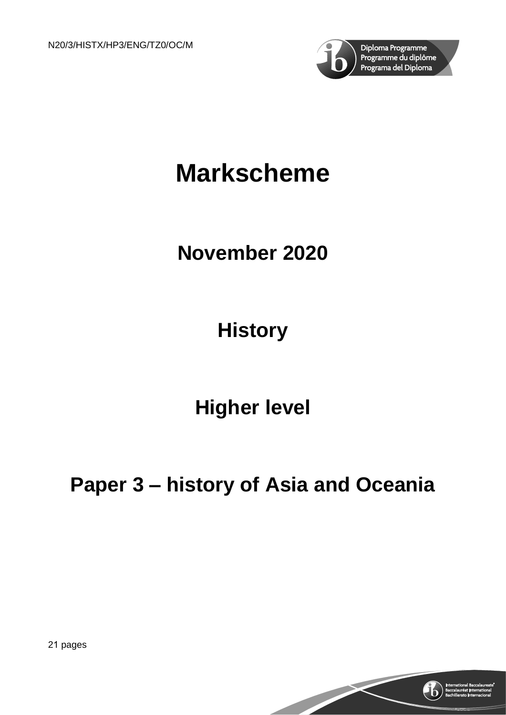

# **Markscheme**

## **November 2020**

## **History**

## **Higher level**

## **Paper 3 – history of Asia and Oceania**

21 pages

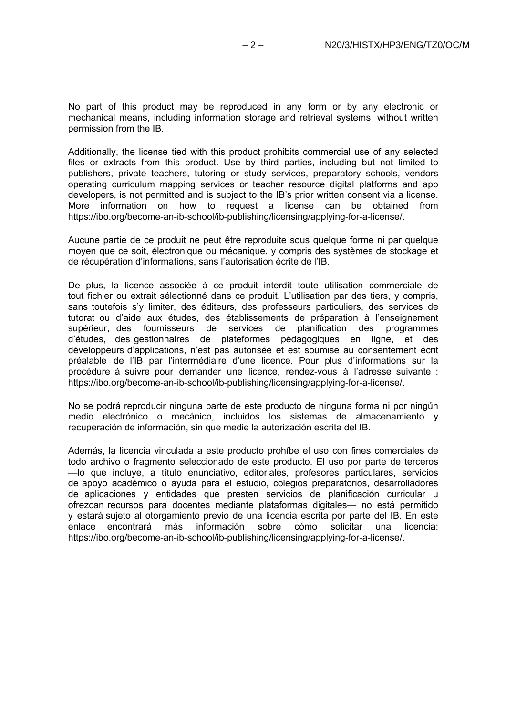No part of this product may be reproduced in any form or by any electronic or mechanical means, including information storage and retrieval systems, without written permission from the IB.

Additionally, the license tied with this product prohibits commercial use of any selected files or extracts from this product. Use by third parties, including but not limited to publishers, private teachers, tutoring or study services, preparatory schools, vendors operating curriculum mapping services or teacher resource digital platforms and app developers, is not permitted and is subject to the IB's prior written consent via a license. More information on how to request a license can be obtained from https://ibo.org/become-an-ib-school/ib-publishing/licensing/applying-for-a-license/.

Aucune partie de ce produit ne peut être reproduite sous quelque forme ni par quelque moyen que ce soit, électronique ou mécanique, y compris des systèmes de stockage et de récupération d'informations, sans l'autorisation écrite de l'IB.

De plus, la licence associée à ce produit interdit toute utilisation commerciale de tout fichier ou extrait sélectionné dans ce produit. L'utilisation par des tiers, y compris, sans toutefois s'y limiter, des éditeurs, des professeurs particuliers, des services de tutorat ou d'aide aux études, des établissements de préparation à l'enseignement supérieur, des fournisseurs de services de planification des programmes d'études, des gestionnaires de plateformes pédagogiques en ligne, et des développeurs d'applications, n'est pas autorisée et est soumise au consentement écrit préalable de l'IB par l'intermédiaire d'une licence. Pour plus d'informations sur la procédure à suivre pour demander une licence, rendez-vous à l'adresse suivante : https://ibo.org/become-an-ib-school/ib-publishing/licensing/applying-for-a-license/.

No se podrá reproducir ninguna parte de este producto de ninguna forma ni por ningún medio electrónico o mecánico, incluidos los sistemas de almacenamiento y recuperación de información, sin que medie la autorización escrita del IB.

Además, la licencia vinculada a este producto prohíbe el uso con fines comerciales de todo archivo o fragmento seleccionado de este producto. El uso por parte de terceros —lo que incluye, a título enunciativo, editoriales, profesores particulares, servicios de apoyo académico o ayuda para el estudio, colegios preparatorios, desarrolladores de aplicaciones y entidades que presten servicios de planificación curricular u ofrezcan recursos para docentes mediante plataformas digitales— no está permitido y estará sujeto al otorgamiento previo de una licencia escrita por parte del IB. En este<br>enlace encontrará más información sobre cómo solicitar una licencia: enlace encontrará más https://ibo.org/become-an-ib-school/ib-publishing/licensing/applying-for-a-license/.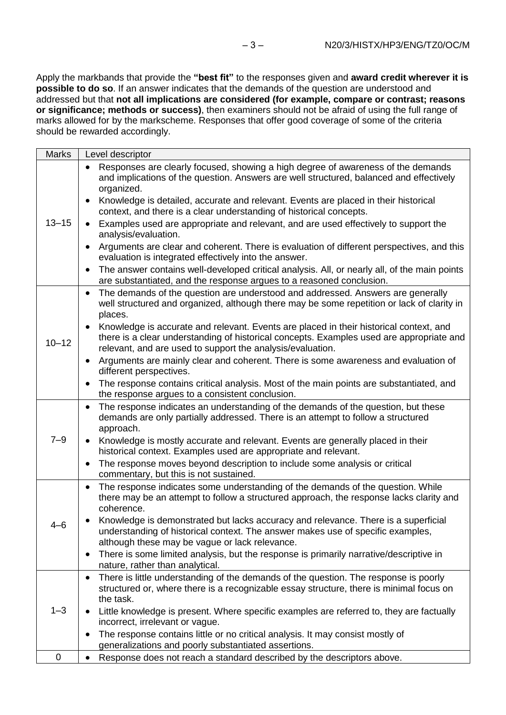Apply the markbands that provide the **"best fit"** to the responses given and **award credit wherever it is possible to do so**. If an answer indicates that the demands of the question are understood and addressed but that **not all implications are considered (for example, compare or contrast; reasons or significance; methods or success)**, then examiners should not be afraid of using the full range of marks allowed for by the markscheme. Responses that offer good coverage of some of the criteria should be rewarded accordingly.

| <b>Marks</b> | Level descriptor                                                                                                                                                                                                                                 |
|--------------|--------------------------------------------------------------------------------------------------------------------------------------------------------------------------------------------------------------------------------------------------|
| $13 - 15$    | Responses are clearly focused, showing a high degree of awareness of the demands<br>$\bullet$<br>and implications of the question. Answers are well structured, balanced and effectively<br>organized.                                           |
|              | Knowledge is detailed, accurate and relevant. Events are placed in their historical<br>context, and there is a clear understanding of historical concepts.                                                                                       |
|              | Examples used are appropriate and relevant, and are used effectively to support the<br>analysis/evaluation.                                                                                                                                      |
|              | Arguments are clear and coherent. There is evaluation of different perspectives, and this<br>evaluation is integrated effectively into the answer.                                                                                               |
|              | The answer contains well-developed critical analysis. All, or nearly all, of the main points<br>are substantiated, and the response argues to a reasoned conclusion.                                                                             |
| $10 - 12$    | The demands of the question are understood and addressed. Answers are generally<br>$\bullet$<br>well structured and organized, although there may be some repetition or lack of clarity in<br>places.                                            |
|              | Knowledge is accurate and relevant. Events are placed in their historical context, and<br>there is a clear understanding of historical concepts. Examples used are appropriate and<br>relevant, and are used to support the analysis/evaluation. |
|              | Arguments are mainly clear and coherent. There is some awareness and evaluation of<br>different perspectives.                                                                                                                                    |
|              | The response contains critical analysis. Most of the main points are substantiated, and<br>$\bullet$<br>the response argues to a consistent conclusion.                                                                                          |
| $7 - 9$      | The response indicates an understanding of the demands of the question, but these<br>$\bullet$<br>demands are only partially addressed. There is an attempt to follow a structured<br>approach.                                                  |
|              | Knowledge is mostly accurate and relevant. Events are generally placed in their<br>historical context. Examples used are appropriate and relevant.                                                                                               |
|              | The response moves beyond description to include some analysis or critical<br>commentary, but this is not sustained.                                                                                                                             |
| $4 - 6$      | The response indicates some understanding of the demands of the question. While<br>$\bullet$<br>there may be an attempt to follow a structured approach, the response lacks clarity and<br>coherence.                                            |
|              | Knowledge is demonstrated but lacks accuracy and relevance. There is a superficial<br>understanding of historical context. The answer makes use of specific examples,<br>although these may be vague or lack relevance.                          |
|              | There is some limited analysis, but the response is primarily narrative/descriptive in<br>nature, rather than analytical.                                                                                                                        |
| $1 - 3$      | There is little understanding of the demands of the question. The response is poorly<br>٠<br>structured or, where there is a recognizable essay structure, there is minimal focus on<br>the task.                                                |
|              | Little knowledge is present. Where specific examples are referred to, they are factually<br>incorrect, irrelevant or vague.                                                                                                                      |
|              | The response contains little or no critical analysis. It may consist mostly of<br>generalizations and poorly substantiated assertions.                                                                                                           |
| 0            | Response does not reach a standard described by the descriptors above.<br>$\bullet$                                                                                                                                                              |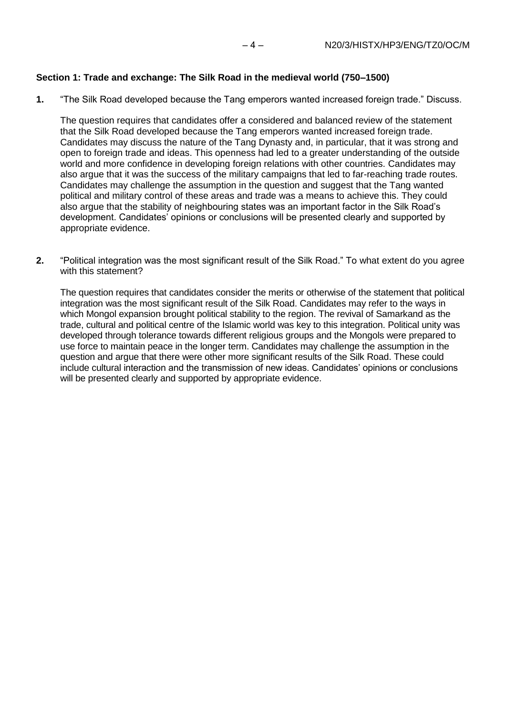## **Section 1: Trade and exchange: The Silk Road in the medieval world (750–1500)**

**1.** "The Silk Road developed because the Tang emperors wanted increased foreign trade." Discuss.

The question requires that candidates offer a considered and balanced review of the statement that the Silk Road developed because the Tang emperors wanted increased foreign trade. Candidates may discuss the nature of the Tang Dynasty and, in particular, that it was strong and open to foreign trade and ideas. This openness had led to a greater understanding of the outside world and more confidence in developing foreign relations with other countries. Candidates may also argue that it was the success of the military campaigns that led to far-reaching trade routes. Candidates may challenge the assumption in the question and suggest that the Tang wanted political and military control of these areas and trade was a means to achieve this. They could also argue that the stability of neighbouring states was an important factor in the Silk Road's development. Candidates' opinions or conclusions will be presented clearly and supported by appropriate evidence.

**2.** "Political integration was the most significant result of the Silk Road." To what extent do you agree with this statement?

The question requires that candidates consider the merits or otherwise of the statement that political integration was the most significant result of the Silk Road. Candidates may refer to the ways in which Mongol expansion brought political stability to the region. The revival of Samarkand as the trade, cultural and political centre of the Islamic world was key to this integration. Political unity was developed through tolerance towards different religious groups and the Mongols were prepared to use force to maintain peace in the longer term. Candidates may challenge the assumption in the question and argue that there were other more significant results of the Silk Road. These could include cultural interaction and the transmission of new ideas. Candidates' opinions or conclusions will be presented clearly and supported by appropriate evidence.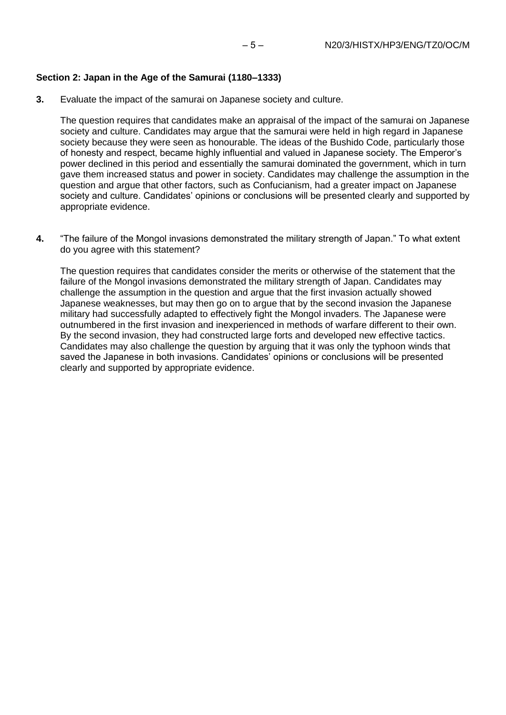## **Section 2: Japan in the Age of the Samurai (1180–1333)**

**3.** Evaluate the impact of the samurai on Japanese society and culture.

The question requires that candidates make an appraisal of the impact of the samurai on Japanese society and culture. Candidates may argue that the samurai were held in high regard in Japanese society because they were seen as honourable. The ideas of the Bushido Code, particularly those of honesty and respect, became highly influential and valued in Japanese society. The Emperor's power declined in this period and essentially the samurai dominated the government, which in turn gave them increased status and power in society. Candidates may challenge the assumption in the question and argue that other factors, such as Confucianism, had a greater impact on Japanese society and culture. Candidates' opinions or conclusions will be presented clearly and supported by appropriate evidence.

**4.** "The failure of the Mongol invasions demonstrated the military strength of Japan." To what extent do you agree with this statement?

The question requires that candidates consider the merits or otherwise of the statement that the failure of the Mongol invasions demonstrated the military strength of Japan. Candidates may challenge the assumption in the question and argue that the first invasion actually showed Japanese weaknesses, but may then go on to argue that by the second invasion the Japanese military had successfully adapted to effectively fight the Mongol invaders. The Japanese were outnumbered in the first invasion and inexperienced in methods of warfare different to their own. By the second invasion, they had constructed large forts and developed new effective tactics. Candidates may also challenge the question by arguing that it was only the typhoon winds that saved the Japanese in both invasions. Candidates' opinions or conclusions will be presented clearly and supported by appropriate evidence.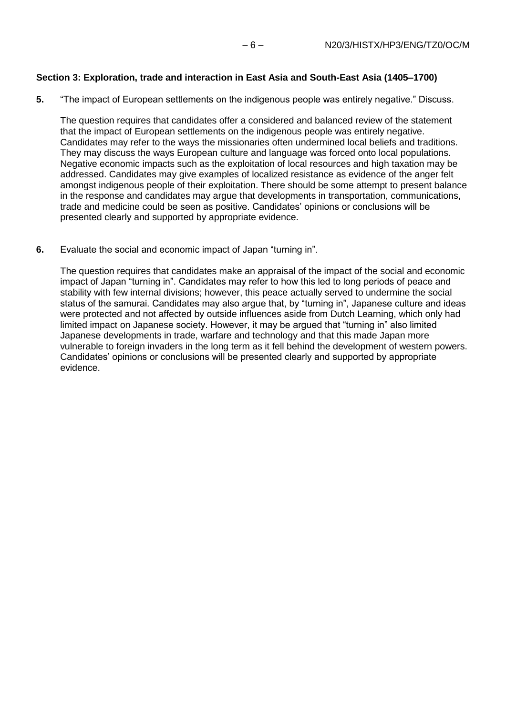## **Section 3: Exploration, trade and interaction in East Asia and South-East Asia (1405–1700)**

**5.** "The impact of European settlements on the indigenous people was entirely negative." Discuss.

The question requires that candidates offer a considered and balanced review of the statement that the impact of European settlements on the indigenous people was entirely negative. Candidates may refer to the ways the missionaries often undermined local beliefs and traditions. They may discuss the ways European culture and language was forced onto local populations. Negative economic impacts such as the exploitation of local resources and high taxation may be addressed. Candidates may give examples of localized resistance as evidence of the anger felt amongst indigenous people of their exploitation. There should be some attempt to present balance in the response and candidates may argue that developments in transportation, communications, trade and medicine could be seen as positive. Candidates' opinions or conclusions will be presented clearly and supported by appropriate evidence.

**6.** Evaluate the social and economic impact of Japan "turning in".

The question requires that candidates make an appraisal of the impact of the social and economic impact of Japan "turning in". Candidates may refer to how this led to long periods of peace and stability with few internal divisions; however, this peace actually served to undermine the social status of the samurai. Candidates may also argue that, by "turning in", Japanese culture and ideas were protected and not affected by outside influences aside from Dutch Learning, which only had limited impact on Japanese society. However, it may be argued that "turning in" also limited Japanese developments in trade, warfare and technology and that this made Japan more vulnerable to foreign invaders in the long term as it fell behind the development of western powers. Candidates' opinions or conclusions will be presented clearly and supported by appropriate evidence.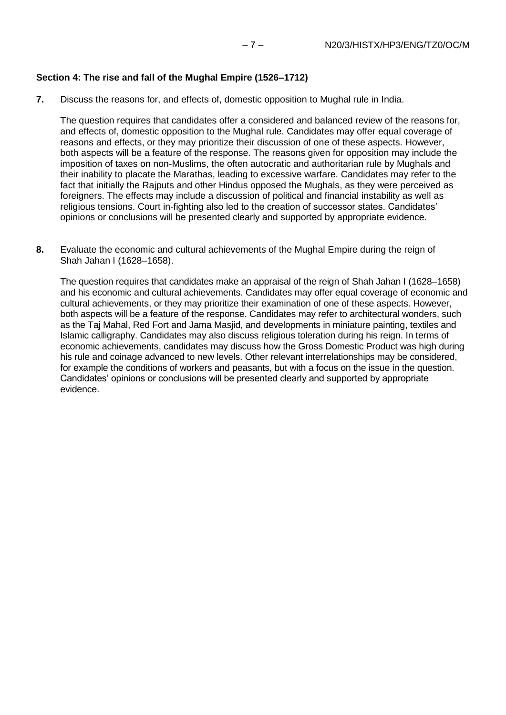#### **Section 4: The rise and fall of the Mughal Empire (1526–1712)**

**7.** Discuss the reasons for, and effects of, domestic opposition to Mughal rule in India.

The question requires that candidates offer a considered and balanced review of the reasons for, and effects of, domestic opposition to the Mughal rule. Candidates may offer equal coverage of reasons and effects, or they may prioritize their discussion of one of these aspects. However, both aspects will be a feature of the response. The reasons given for opposition may include the imposition of taxes on non-Muslims, the often autocratic and authoritarian rule by Mughals and their inability to placate the Marathas, leading to excessive warfare. Candidates may refer to the fact that initially the Rajputs and other Hindus opposed the Mughals, as they were perceived as foreigners. The effects may include a discussion of political and financial instability as well as religious tensions. Court in-fighting also led to the creation of successor states. Candidates' opinions or conclusions will be presented clearly and supported by appropriate evidence.

**8.** Evaluate the economic and cultural achievements of the Mughal Empire during the reign of Shah Jahan I (1628–1658).

The question requires that candidates make an appraisal of the reign of Shah Jahan I (1628–1658) and his economic and cultural achievements. Candidates may offer equal coverage of economic and cultural achievements, or they may prioritize their examination of one of these aspects. However, both aspects will be a feature of the response. Candidates may refer to architectural wonders, such as the Taj Mahal, Red Fort and Jama Masjid, and developments in miniature painting, textiles and Islamic calligraphy. Candidates may also discuss religious toleration during his reign. In terms of economic achievements, candidates may discuss how the Gross Domestic Product was high during his rule and coinage advanced to new levels. Other relevant interrelationships may be considered, for example the conditions of workers and peasants, but with a focus on the issue in the question. Candidates' opinions or conclusions will be presented clearly and supported by appropriate evidence.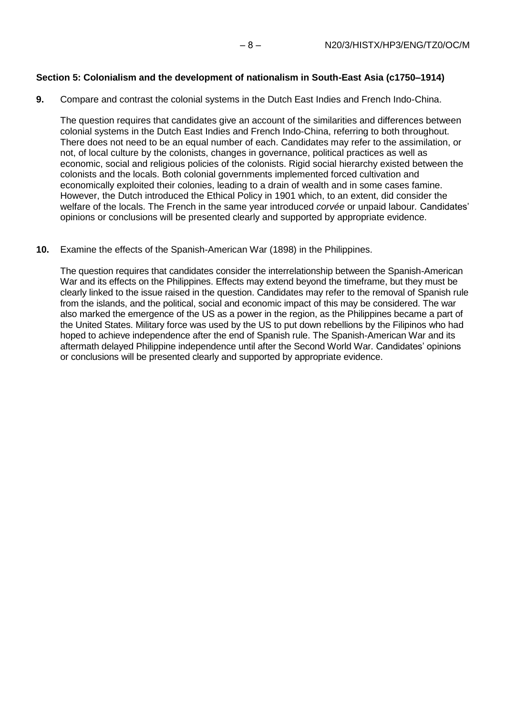## **Section 5: Colonialism and the development of nationalism in South-East Asia (c1750–1914)**

**9.** Compare and contrast the colonial systems in the Dutch East Indies and French Indo-China.

The question requires that candidates give an account of the similarities and differences between colonial systems in the Dutch East Indies and French Indo-China, referring to both throughout. There does not need to be an equal number of each. Candidates may refer to the assimilation, or not, of local culture by the colonists, changes in governance, political practices as well as economic, social and religious policies of the colonists. Rigid social hierarchy existed between the colonists and the locals. Both colonial governments implemented forced cultivation and economically exploited their colonies, leading to a drain of wealth and in some cases famine. However, the Dutch introduced the Ethical Policy in 1901 which, to an extent, did consider the welfare of the locals. The French in the same year introduced *corvée* or unpaid labour*.* Candidates' opinions or conclusions will be presented clearly and supported by appropriate evidence.

## **10.** Examine the effects of the Spanish-American War (1898) in the Philippines.

The question requires that candidates consider the interrelationship between the Spanish-American War and its effects on the Philippines. Effects may extend beyond the timeframe, but they must be clearly linked to the issue raised in the question. Candidates may refer to the removal of Spanish rule from the islands, and the political, social and economic impact of this may be considered. The war also marked the emergence of the US as a power in the region, as the Philippines became a part of the United States. Military force was used by the US to put down rebellions by the Filipinos who had hoped to achieve independence after the end of Spanish rule. The Spanish-American War and its aftermath delayed Philippine independence until after the Second World War. Candidates' opinions or conclusions will be presented clearly and supported by appropriate evidence.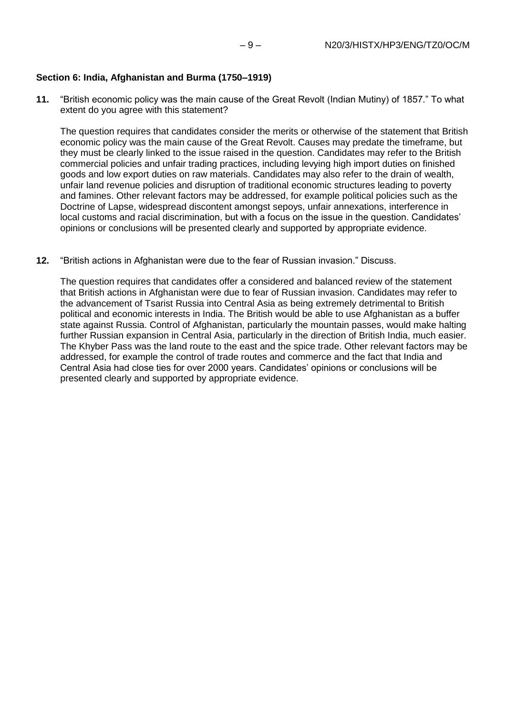## **Section 6: India, Afghanistan and Burma (1750–1919)**

**11.** "British economic policy was the main cause of the Great Revolt (Indian Mutiny) of 1857." To what extent do you agree with this statement?

The question requires that candidates consider the merits or otherwise of the statement that British economic policy was the main cause of the Great Revolt. Causes may predate the timeframe, but they must be clearly linked to the issue raised in the question. Candidates may refer to the British commercial policies and unfair trading practices, including levying high import duties on finished goods and low export duties on raw materials. Candidates may also refer to the drain of wealth, unfair land revenue policies and disruption of traditional economic structures leading to poverty and famines. Other relevant factors may be addressed, for example political policies such as the Doctrine of Lapse, widespread discontent amongst sepoys, unfair annexations, interference in local customs and racial discrimination, but with a focus on the issue in the question. Candidates' opinions or conclusions will be presented clearly and supported by appropriate evidence.

**12.** "British actions in Afghanistan were due to the fear of Russian invasion." Discuss.

The question requires that candidates offer a considered and balanced review of the statement that British actions in Afghanistan were due to fear of Russian invasion. Candidates may refer to the advancement of Tsarist Russia into Central Asia as being extremely detrimental to British political and economic interests in India. The British would be able to use Afghanistan as a buffer state against Russia. Control of Afghanistan, particularly the mountain passes, would make halting further Russian expansion in Central Asia, particularly in the direction of British India, much easier. The Khyber Pass was the land route to the east and the spice trade. Other relevant factors may be addressed, for example the control of trade routes and commerce and the fact that India and Central Asia had close ties for over 2000 years. Candidates' opinions or conclusions will be presented clearly and supported by appropriate evidence.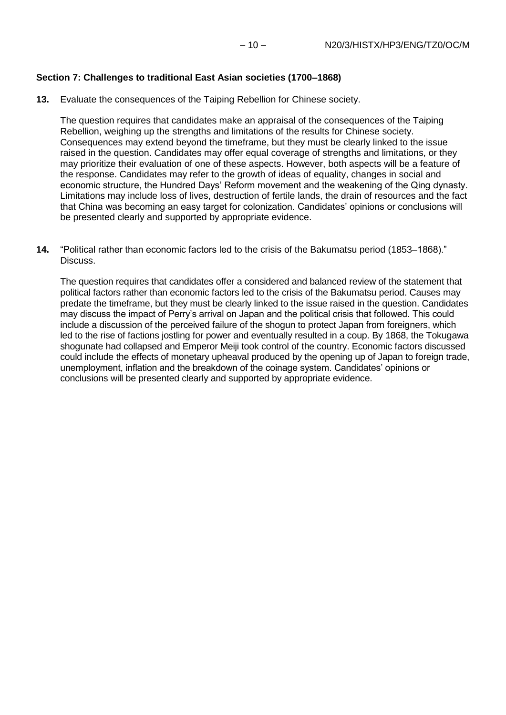#### **Section 7: Challenges to traditional East Asian societies (1700–1868)**

**13.** Evaluate the consequences of the Taiping Rebellion for Chinese society.

The question requires that candidates make an appraisal of the consequences of the Taiping Rebellion, weighing up the strengths and limitations of the results for Chinese society. Consequences may extend beyond the timeframe, but they must be clearly linked to the issue raised in the question. Candidates may offer equal coverage of strengths and limitations, or they may prioritize their evaluation of one of these aspects. However, both aspects will be a feature of the response. Candidates may refer to the growth of ideas of equality, changes in social and economic structure, the Hundred Days' Reform movement and the weakening of the Qing dynasty. Limitations may include loss of lives, destruction of fertile lands, the drain of resources and the fact that China was becoming an easy target for colonization. Candidates' opinions or conclusions will be presented clearly and supported by appropriate evidence.

**14.** "Political rather than economic factors led to the crisis of the Bakumatsu period (1853–1868)." Discuss.

The question requires that candidates offer a considered and balanced review of the statement that political factors rather than economic factors led to the crisis of the Bakumatsu period. Causes may predate the timeframe, but they must be clearly linked to the issue raised in the question. Candidates may discuss the impact of Perry's arrival on Japan and the political crisis that followed. This could include a discussion of the perceived failure of the shogun to protect Japan from foreigners, which led to the rise of factions jostling for power and eventually resulted in a coup. By 1868, the Tokugawa shogunate had collapsed and Emperor Meiji took control of the country. Economic factors discussed could include the effects of monetary upheaval produced by the opening up of Japan to foreign trade, unemployment, inflation and the breakdown of the coinage system. Candidates' opinions or conclusions will be presented clearly and supported by appropriate evidence.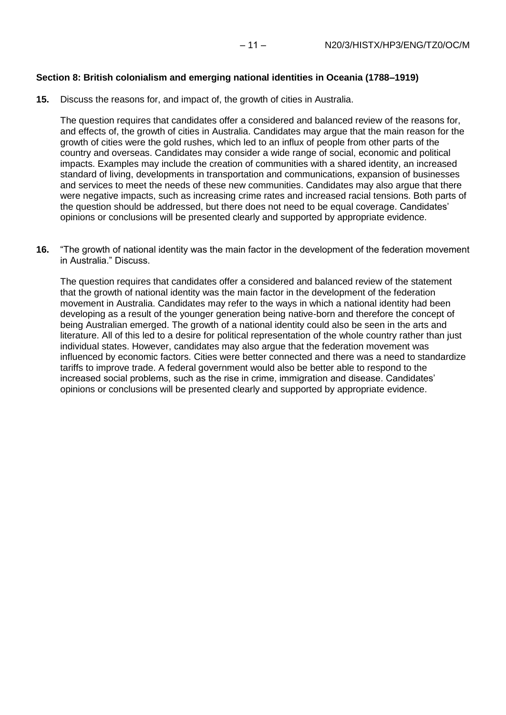### **Section 8: British colonialism and emerging national identities in Oceania (1788–1919)**

**15.** Discuss the reasons for, and impact of, the growth of cities in Australia.

The question requires that candidates offer a considered and balanced review of the reasons for, and effects of, the growth of cities in Australia. Candidates may argue that the main reason for the growth of cities were the gold rushes, which led to an influx of people from other parts of the country and overseas. Candidates may consider a wide range of social, economic and political impacts. Examples may include the creation of communities with a shared identity, an increased standard of living, developments in transportation and communications, expansion of businesses and services to meet the needs of these new communities. Candidates may also argue that there were negative impacts, such as increasing crime rates and increased racial tensions. Both parts of the question should be addressed, but there does not need to be equal coverage. Candidates' opinions or conclusions will be presented clearly and supported by appropriate evidence.

**16.** "The growth of national identity was the main factor in the development of the federation movement in Australia." Discuss.

The question requires that candidates offer a considered and balanced review of the statement that the growth of national identity was the main factor in the development of the federation movement in Australia. Candidates may refer to the ways in which a national identity had been developing as a result of the younger generation being native-born and therefore the concept of being Australian emerged. The growth of a national identity could also be seen in the arts and literature. All of this led to a desire for political representation of the whole country rather than just individual states. However, candidates may also argue that the federation movement was influenced by economic factors. Cities were better connected and there was a need to standardize tariffs to improve trade. A federal government would also be better able to respond to the increased social problems, such as the rise in crime, immigration and disease. Candidates' opinions or conclusions will be presented clearly and supported by appropriate evidence.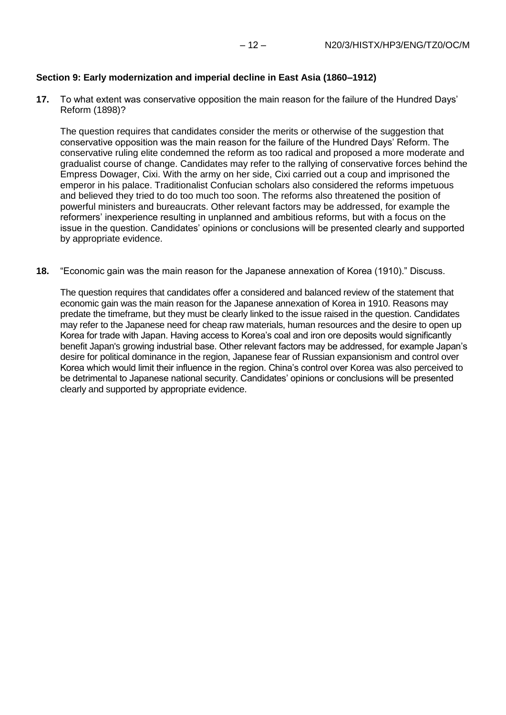#### **Section 9: Early modernization and imperial decline in East Asia (1860–1912)**

**17.** To what extent was conservative opposition the main reason for the failure of the Hundred Days' Reform (1898)?

The question requires that candidates consider the merits or otherwise of the suggestion that conservative opposition was the main reason for the failure of the Hundred Days' Reform. The conservative ruling elite condemned the reform as too radical and proposed a more moderate and gradualist course of change. Candidates may refer to the rallying of conservative forces behind the Empress Dowager, Cixi. With the army on her side, Cixi carried out a coup and imprisoned the emperor in his palace. Traditionalist Confucian scholars also considered the reforms impetuous and believed they tried to do too much too soon. The reforms also threatened the position of powerful ministers and bureaucrats. Other relevant factors may be addressed, for example the reformers' inexperience resulting in unplanned and ambitious reforms, but with a focus on the issue in the question. Candidates' opinions or conclusions will be presented clearly and supported by appropriate evidence.

**18.** "Economic gain was the main reason for the Japanese annexation of Korea (1910)." Discuss.

The question requires that candidates offer a considered and balanced review of the statement that economic gain was the main reason for the Japanese annexation of Korea in 1910. Reasons may predate the timeframe, but they must be clearly linked to the issue raised in the question. Candidates may refer to the Japanese need for cheap raw materials, human resources and the desire to open up Korea for trade with Japan. Having access to Korea's coal and iron ore deposits would significantly benefit Japan's growing industrial base. Other relevant factors may be addressed, for example Japan's desire for political dominance in the region, Japanese fear of Russian expansionism and control over Korea which would limit their influence in the region. China's control over Korea was also perceived to be detrimental to Japanese national security. Candidates' opinions or conclusions will be presented clearly and supported by appropriate evidence.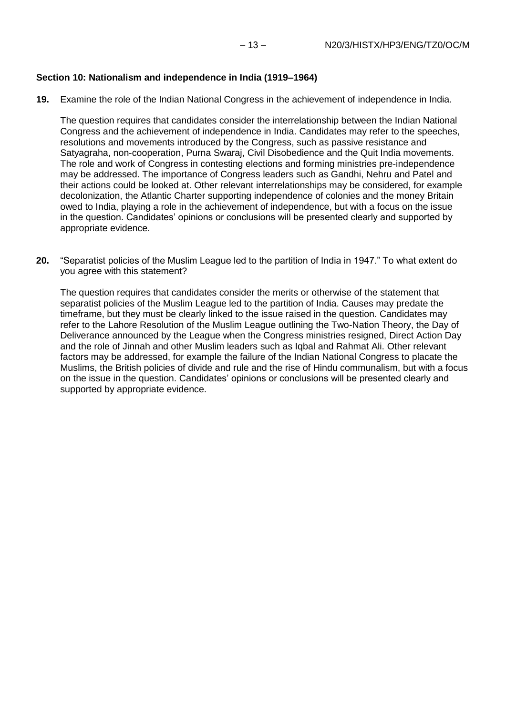## **Section 10: Nationalism and independence in India (1919–1964)**

**19.** Examine the role of the Indian National Congress in the achievement of independence in India.

The question requires that candidates consider the interrelationship between the Indian National Congress and the achievement of independence in India. Candidates may refer to the speeches, resolutions and movements introduced by the Congress, such as passive resistance and Satyagraha, non-cooperation, Purna Swaraj, Civil Disobedience and the Quit India movements. The role and work of Congress in contesting elections and forming ministries pre-independence may be addressed. The importance of Congress leaders such as Gandhi, Nehru and Patel and their actions could be looked at. Other relevant interrelationships may be considered, for example decolonization, the Atlantic Charter supporting independence of colonies and the money Britain owed to India, playing a role in the achievement of independence, but with a focus on the issue in the question. Candidates' opinions or conclusions will be presented clearly and supported by appropriate evidence.

**20.** "Separatist policies of the Muslim League led to the partition of India in 1947." To what extent do you agree with this statement?

The question requires that candidates consider the merits or otherwise of the statement that separatist policies of the Muslim League led to the partition of India. Causes may predate the timeframe, but they must be clearly linked to the issue raised in the question. Candidates may refer to the Lahore Resolution of the Muslim League outlining the Two-Nation Theory, the Day of Deliverance announced by the League when the Congress ministries resigned, Direct Action Day and the role of Jinnah and other Muslim leaders such as Iqbal and Rahmat Ali. Other relevant factors may be addressed, for example the failure of the Indian National Congress to placate the Muslims, the British policies of divide and rule and the rise of Hindu communalism, but with a focus on the issue in the question. Candidates' opinions or conclusions will be presented clearly and supported by appropriate evidence.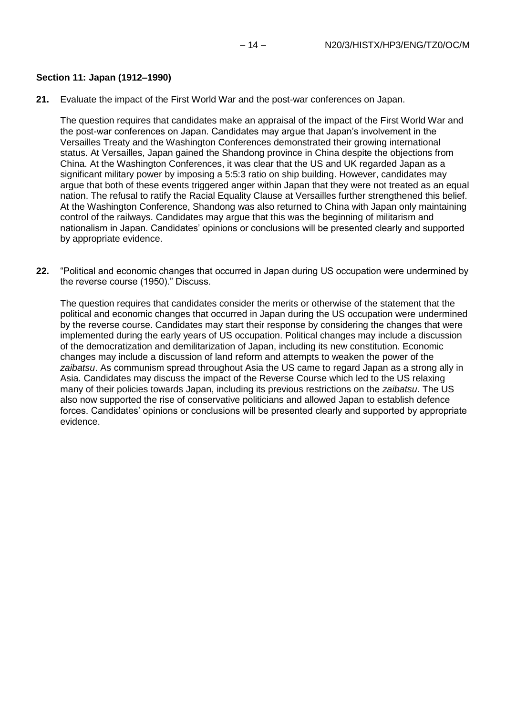**21.** Evaluate the impact of the First World War and the post-war conferences on Japan.

The question requires that candidates make an appraisal of the impact of the First World War and the post-war conferences on Japan. Candidates may argue that Japan's involvement in the Versailles Treaty and the Washington Conferences demonstrated their growing international status. At Versailles, Japan gained the Shandong province in China despite the objections from China. At the Washington Conferences, it was clear that the US and UK regarded Japan as a significant military power by imposing a 5:5:3 ratio on ship building. However, candidates may argue that both of these events triggered anger within Japan that they were not treated as an equal nation. The refusal to ratify the Racial Equality Clause at Versailles further strengthened this belief. At the Washington Conference, Shandong was also returned to China with Japan only maintaining control of the railways. Candidates may argue that this was the beginning of militarism and nationalism in Japan. Candidates' opinions or conclusions will be presented clearly and supported by appropriate evidence.

**22.** "Political and economic changes that occurred in Japan during US occupation were undermined by the reverse course (1950)." Discuss.

The question requires that candidates consider the merits or otherwise of the statement that the political and economic changes that occurred in Japan during the US occupation were undermined by the reverse course. Candidates may start their response by considering the changes that were implemented during the early years of US occupation. Political changes may include a discussion of the democratization and demilitarization of Japan, including its new constitution. Economic changes may include a discussion of land reform and attempts to weaken the power of the *zaibatsu*. As communism spread throughout Asia the US came to regard Japan as a strong ally in Asia. Candidates may discuss the impact of the Reverse Course which led to the US relaxing many of their policies towards Japan, including its previous restrictions on the *zaibatsu*. The US also now supported the rise of conservative politicians and allowed Japan to establish defence forces. Candidates' opinions or conclusions will be presented clearly and supported by appropriate evidence.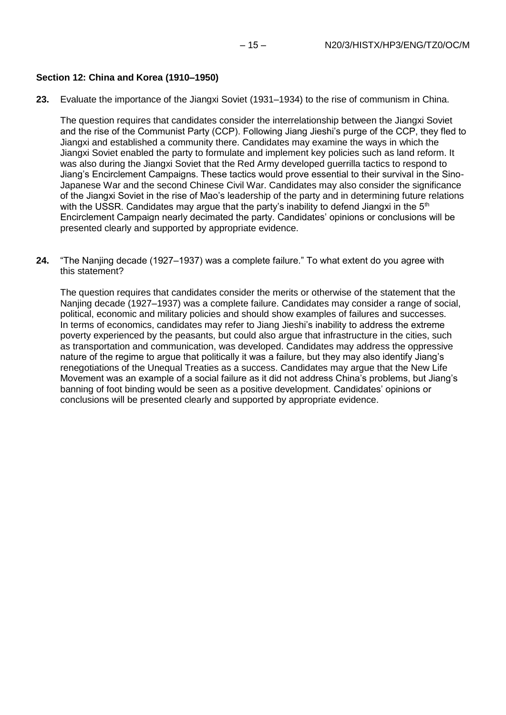#### **Section 12: China and Korea (1910–1950)**

**23.** Evaluate the importance of the Jiangxi Soviet (1931–1934) to the rise of communism in China.

The question requires that candidates consider the interrelationship between the Jiangxi Soviet and the rise of the Communist Party (CCP). Following Jiang Jieshi's purge of the CCP, they fled to Jiangxi and established a community there. Candidates may examine the ways in which the Jiangxi Soviet enabled the party to formulate and implement key policies such as land reform. It was also during the Jiangxi Soviet that the Red Army developed guerrilla tactics to respond to Jiang's Encirclement Campaigns. These tactics would prove essential to their survival in the Sino-Japanese War and the second Chinese Civil War. Candidates may also consider the significance of the Jiangxi Soviet in the rise of Mao's leadership of the party and in determining future relations with the USSR. Candidates may argue that the party's inability to defend Jiangxi in the  $5<sup>th</sup>$ Encirclement Campaign nearly decimated the party. Candidates' opinions or conclusions will be presented clearly and supported by appropriate evidence.

**24.** "The Nanjing decade (1927–1937) was a complete failure." To what extent do you agree with this statement?

The question requires that candidates consider the merits or otherwise of the statement that the Nanjing decade (1927–1937) was a complete failure. Candidates may consider a range of social, political, economic and military policies and should show examples of failures and successes. In terms of economics, candidates may refer to Jiang Jieshi's inability to address the extreme poverty experienced by the peasants, but could also argue that infrastructure in the cities, such as transportation and communication, was developed. Candidates may address the oppressive nature of the regime to argue that politically it was a failure, but they may also identify Jiang's renegotiations of the Unequal Treaties as a success. Candidates may argue that the New Life Movement was an example of a social failure as it did not address China's problems, but Jiang's banning of foot binding would be seen as a positive development. Candidates' opinions or conclusions will be presented clearly and supported by appropriate evidence.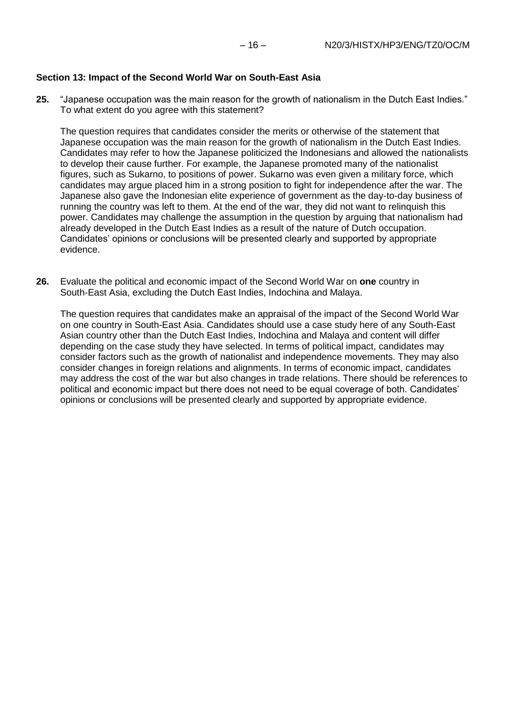## **Section 13: Impact of the Second World War on South-East Asia**

**25.** "Japanese occupation was the main reason for the growth of nationalism in the Dutch East Indies." To what extent do you agree with this statement?

The question requires that candidates consider the merits or otherwise of the statement that Japanese occupation was the main reason for the growth of nationalism in the Dutch East Indies. Candidates may refer to how the Japanese politicized the Indonesians and allowed the nationalists to develop their cause further. For example, the Japanese promoted many of the nationalist figures, such as Sukarno, to positions of power. Sukarno was even given a military force, which candidates may argue placed him in a strong position to fight for independence after the war. The Japanese also gave the Indonesian elite experience of government as the day-to-day business of running the country was left to them. At the end of the war, they did not want to relinquish this power. Candidates may challenge the assumption in the question by arguing that nationalism had already developed in the Dutch East Indies as a result of the nature of Dutch occupation. Candidates' opinions or conclusions will be presented clearly and supported by appropriate evidence.

**26.** Evaluate the political and economic impact of the Second World War on **one** country in South-East Asia, excluding the Dutch East Indies, Indochina and Malaya.

The question requires that candidates make an appraisal of the impact of the Second World War on one country in South-East Asia. Candidates should use a case study here of any South-East Asian country other than the Dutch East Indies, Indochina and Malaya and content will differ depending on the case study they have selected. In terms of political impact, candidates may consider factors such as the growth of nationalist and independence movements. They may also consider changes in foreign relations and alignments. In terms of economic impact, candidates may address the cost of the war but also changes in trade relations. There should be references to political and economic impact but there does not need to be equal coverage of both. Candidates' opinions or conclusions will be presented clearly and supported by appropriate evidence.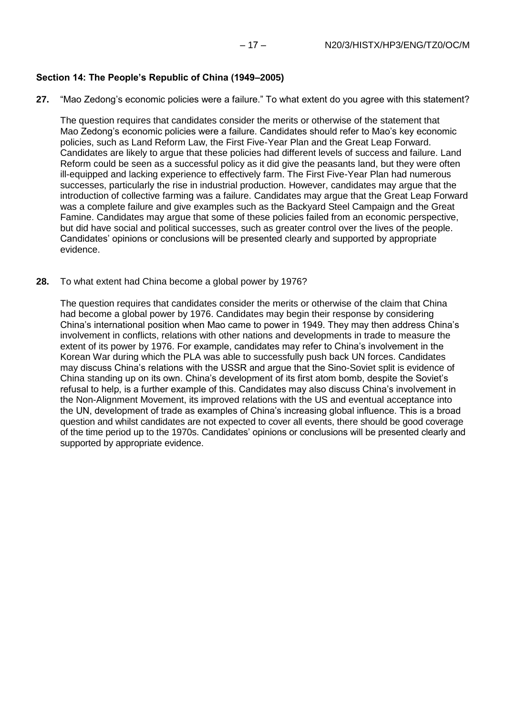## **Section 14: The People's Republic of China (1949–2005)**

**27.** "Mao Zedong's economic policies were a failure." To what extent do you agree with this statement?

The question requires that candidates consider the merits or otherwise of the statement that Mao Zedong's economic policies were a failure. Candidates should refer to Mao's key economic policies, such as Land Reform Law, the First Five-Year Plan and the Great Leap Forward. Candidates are likely to argue that these policies had different levels of success and failure. Land Reform could be seen as a successful policy as it did give the peasants land, but they were often ill-equipped and lacking experience to effectively farm. The First Five-Year Plan had numerous successes, particularly the rise in industrial production. However, candidates may argue that the introduction of collective farming was a failure. Candidates may argue that the Great Leap Forward was a complete failure and give examples such as the Backyard Steel Campaign and the Great Famine. Candidates may argue that some of these policies failed from an economic perspective, but did have social and political successes, such as greater control over the lives of the people. Candidates' opinions or conclusions will be presented clearly and supported by appropriate evidence.

**28.** To what extent had China become a global power by 1976?

The question requires that candidates consider the merits or otherwise of the claim that China had become a global power by 1976. Candidates may begin their response by considering China's international position when Mao came to power in 1949. They may then address China's involvement in conflicts, relations with other nations and developments in trade to measure the extent of its power by 1976. For example, candidates may refer to China's involvement in the Korean War during which the PLA was able to successfully push back UN forces. Candidates may discuss China's relations with the USSR and argue that the Sino-Soviet split is evidence of China standing up on its own. China's development of its first atom bomb, despite the Soviet's refusal to help, is a further example of this. Candidates may also discuss China's involvement in the Non-Alignment Movement, its improved relations with the US and eventual acceptance into the UN, development of trade as examples of China's increasing global influence. This is a broad question and whilst candidates are not expected to cover all events, there should be good coverage of the time period up to the 1970s. Candidates' opinions or conclusions will be presented clearly and supported by appropriate evidence.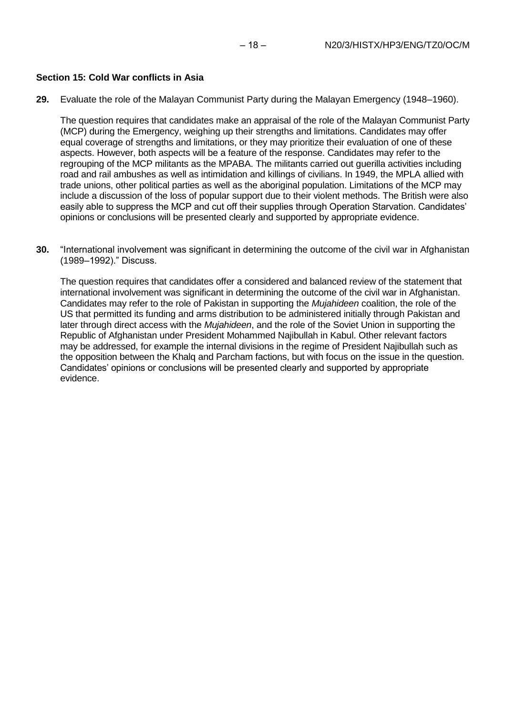### **Section 15: Cold War conflicts in Asia**

**29.** Evaluate the role of the Malayan Communist Party during the Malayan Emergency (1948–1960).

The question requires that candidates make an appraisal of the role of the Malayan Communist Party (MCP) during the Emergency, weighing up their strengths and limitations. Candidates may offer equal coverage of strengths and limitations, or they may prioritize their evaluation of one of these aspects. However, both aspects will be a feature of the response. Candidates may refer to the regrouping of the MCP militants as the MPABA. The militants carried out guerilla activities including road and rail ambushes as well as intimidation and killings of civilians. In 1949, the MPLA allied with trade unions, other political parties as well as the aboriginal population. Limitations of the MCP may include a discussion of the loss of popular support due to their violent methods. The British were also easily able to suppress the MCP and cut off their supplies through Operation Starvation. Candidates' opinions or conclusions will be presented clearly and supported by appropriate evidence.

**30.** "International involvement was significant in determining the outcome of the civil war in Afghanistan (1989–1992)." Discuss.

The question requires that candidates offer a considered and balanced review of the statement that international involvement was significant in determining the outcome of the civil war in Afghanistan. Candidates may refer to the role of Pakistan in supporting the *Mujahideen* coalition, the role of the US that permitted its funding and arms distribution to be administered initially through Pakistan and later through direct access with the *Mujahideen*, and the role of the Soviet Union in supporting the Republic of Afghanistan under President Mohammed Najibullah in Kabul. Other relevant factors may be addressed, for example the internal divisions in the regime of President Najibullah such as the opposition between the Khalq and Parcham factions, but with focus on the issue in the question. Candidates' opinions or conclusions will be presented clearly and supported by appropriate evidence.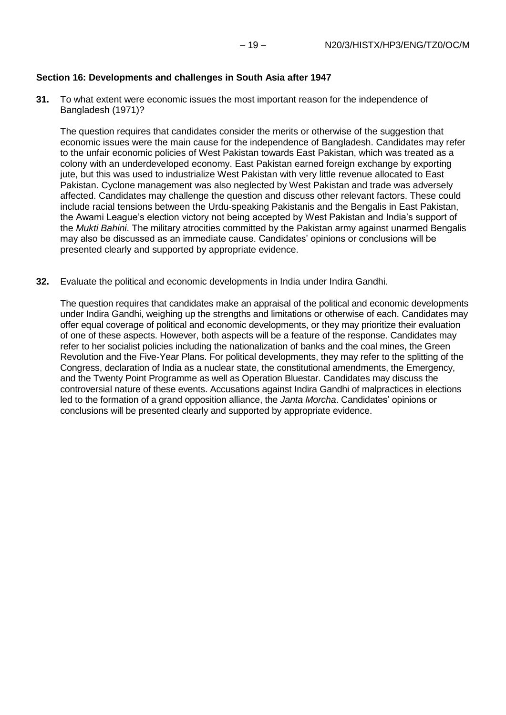#### **Section 16: Developments and challenges in South Asia after 1947**

**31.** To what extent were economic issues the most important reason for the independence of Bangladesh (1971)?

The question requires that candidates consider the merits or otherwise of the suggestion that economic issues were the main cause for the independence of Bangladesh. Candidates may refer to the unfair economic policies of West Pakistan towards East Pakistan, which was treated as a colony with an underdeveloped economy. East Pakistan earned foreign exchange by exporting jute, but this was used to industrialize West Pakistan with very little revenue allocated to East Pakistan. Cyclone management was also neglected by West Pakistan and trade was adversely affected. Candidates may challenge the question and discuss other relevant factors. These could include racial tensions between the Urdu-speaking Pakistanis and the Bengalis in East Pakistan, the Awami League's election victory not being accepted by West Pakistan and India's support of the *Mukti Bahini*. The military atrocities committed by the Pakistan army against unarmed Bengalis may also be discussed as an immediate cause. Candidates' opinions or conclusions will be presented clearly and supported by appropriate evidence.

**32.** Evaluate the political and economic developments in India under Indira Gandhi.

The question requires that candidates make an appraisal of the political and economic developments under Indira Gandhi, weighing up the strengths and limitations or otherwise of each. Candidates may offer equal coverage of political and economic developments, or they may prioritize their evaluation of one of these aspects. However, both aspects will be a feature of the response. Candidates may refer to her socialist policies including the nationalization of banks and the coal mines, the Green Revolution and the Five-Year Plans. For political developments, they may refer to the splitting of the Congress, declaration of India as a nuclear state, the constitutional amendments, the Emergency, and the Twenty Point Programme as well as Operation Bluestar. Candidates may discuss the controversial nature of these events. Accusations against Indira Gandhi of malpractices in elections led to the formation of a grand opposition alliance, the *Janta Morcha*. Candidates' opinions or conclusions will be presented clearly and supported by appropriate evidence.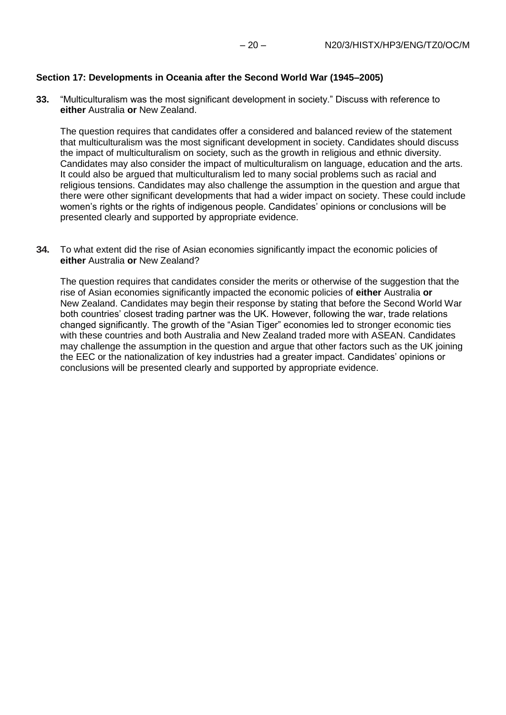#### **Section 17: Developments in Oceania after the Second World War (1945–2005)**

**33.** "Multiculturalism was the most significant development in society." Discuss with reference to **either** Australia **or** New Zealand.

The question requires that candidates offer a considered and balanced review of the statement that multiculturalism was the most significant development in society. Candidates should discuss the impact of multiculturalism on society, such as the growth in religious and ethnic diversity. Candidates may also consider the impact of multiculturalism on language, education and the arts. It could also be argued that multiculturalism led to many social problems such as racial and religious tensions. Candidates may also challenge the assumption in the question and argue that there were other significant developments that had a wider impact on society. These could include women's rights or the rights of indigenous people. Candidates' opinions or conclusions will be presented clearly and supported by appropriate evidence.

**34.** To what extent did the rise of Asian economies significantly impact the economic policies of **either** Australia **or** New Zealand?

The question requires that candidates consider the merits or otherwise of the suggestion that the rise of Asian economies significantly impacted the economic policies of **either** Australia **or**  New Zealand. Candidates may begin their response by stating that before the Second World War both countries' closest trading partner was the UK. However, following the war, trade relations changed significantly. The growth of the "Asian Tiger" economies led to stronger economic ties with these countries and both Australia and New Zealand traded more with ASEAN. Candidates may challenge the assumption in the question and argue that other factors such as the UK joining the EEC or the nationalization of key industries had a greater impact. Candidates' opinions or conclusions will be presented clearly and supported by appropriate evidence.